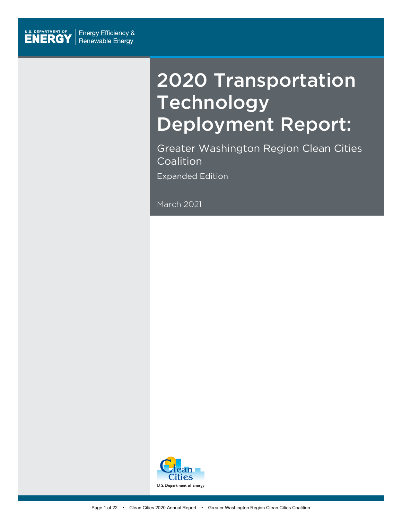

# 2020 Transportation Technology Deployment Report:

Greater Washington Region Clean Cities Coalition Expanded Edition

March 2021

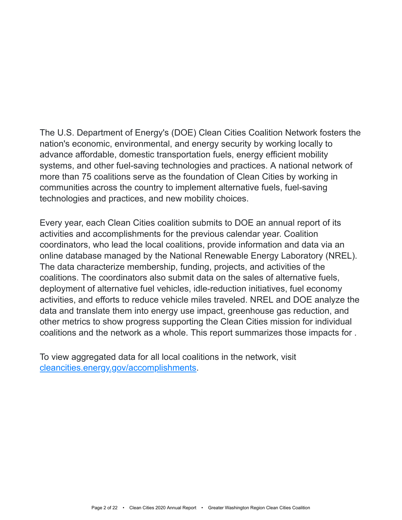The U.S. Department of Energy's (DOE) Clean Cities Coalition Network fosters the nation's economic, environmental, and energy security by working locally to advance affordable, domestic transportation fuels, energy efficient mobility systems, and other fuel-saving technologies and practices. A national network of more than 75 coalitions serve as the foundation of Clean Cities by working in communities across the country to implement alternative fuels, fuel-saving technologies and practices, and new mobility choices.

Every year, each Clean Cities coalition submits to DOE an annual report of its activities and accomplishments for the previous calendar year. Coalition coordinators, who lead the local coalitions, provide information and data via an online database managed by the National Renewable Energy Laboratory (NREL). The data characterize membership, funding, projects, and activities of the coalitions. The coordinators also submit data on the sales of alternative fuels, deployment of alternative fuel vehicles, idle-reduction initiatives, fuel economy activities, and efforts to reduce vehicle miles traveled. NREL and DOE analyze the data and translate them into energy use impact, greenhouse gas reduction, and other metrics to show progress supporting the Clean Cities mission for individual coalitions and the network as a whole. This report summarizes those impacts for .

To view aggregated data for all local coalitions in the network, visit [cleancities.energy.gov/accomplishments](https://cleancities.energy.gov/accomplishments/).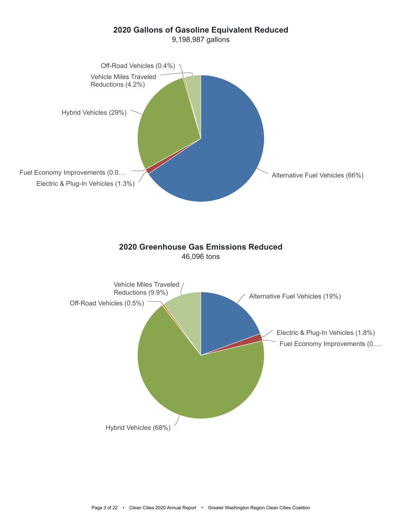### **2020 Gallons of Gasoline Equivalent Reduced**





#### **2020 Greenhouse Gas Emissions Reduced** 46,096 tons

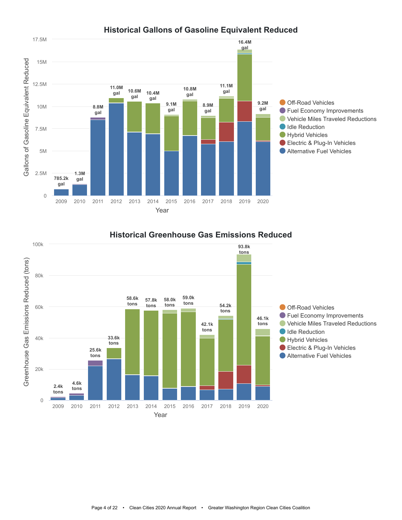



#### **Historical Greenhouse Gas Emissions Reduced**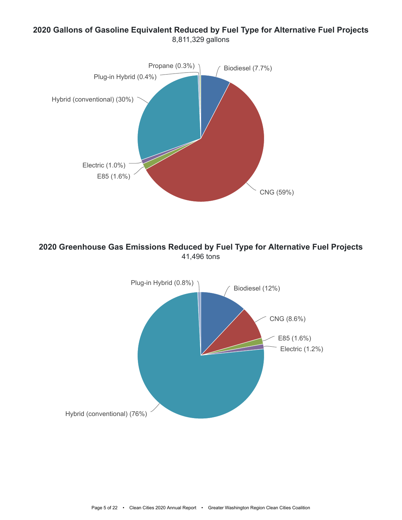### **2020 Gallons of Gasoline Equivalent Reduced by Fuel Type for Alternative Fuel Projects** 8,811,329 gallons



**2020 Greenhouse Gas Emissions Reduced by Fuel Type for Alternative Fuel Projects** 41,496 tons

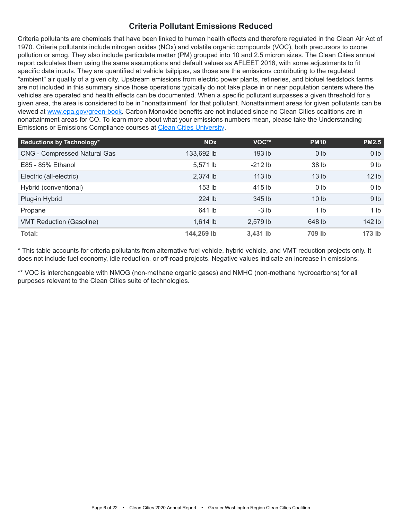#### **Criteria Pollutant Emissions Reduced**

Criteria pollutants are chemicals that have been linked to human health effects and therefore regulated in the Clean Air Act of 1970. Criteria pollutants include nitrogen oxides (NOx) and volatile organic compounds (VOC), both precursors to ozone pollution or smog. They also include particulate matter (PM) grouped into 10 and 2.5 micron sizes. The Clean Cities annual report calculates them using the same assumptions and default values as AFLEET 2016, with some adjustments to fit specific data inputs. They are quantified at vehicle tailpipes, as those are the emissions contributing to the regulated "ambient" air quality of a given city. Upstream emissions from electric power plants, refineries, and biofuel feedstock farms are not included in this summary since those operations typically do not take place in or near population centers where the vehicles are operated and health effects can be documented. When a specific pollutant surpasses a given threshold for a given area, the area is considered to be in "nonattainment" for that pollutant. Nonattainment areas for given pollutants can be viewed at [www.epa.gov/green-book](https://www.epa.gov/green-book). Carbon Monoxide benefits are not included since no Clean Cities coalitions are in nonattainment areas for CO. To learn more about what your emissions numbers mean, please take the Understanding Emissions or Emissions Compliance courses at [Clean Cities University.](https://cleancities.energy.gov/toolbox/education-webinars/)

| <b>Reductions by Technology*</b>    | <b>NO<sub>x</sub></b> | VOC**             | <b>PM10</b>      | <b>PM2.5</b>     |
|-------------------------------------|-----------------------|-------------------|------------------|------------------|
| <b>CNG - Compressed Natural Gas</b> | 133,692 lb            | 193 <sub>lb</sub> | 0 <sub>lb</sub>  | 0 <sub>1b</sub>  |
| E85 - 85% Ethanol                   | 5,571 lb              | $-212$ lb         | 38 lb            | 9 <sub>lb</sub>  |
| Electric (all-electric)             | 2,374 lb              | 113 <sub>lb</sub> | 13 <sub>lb</sub> | 12 <sub>1b</sub> |
| Hybrid (conventional)               | 153 lb                | 415 lb            | 0 <sub>lb</sub>  | 0 <sub>lb</sub>  |
| Plug-in Hybrid                      | 224 lb                | 345 lb            | 10 <sub>lb</sub> | 9 <sub>lb</sub>  |
| Propane                             | 641 lb                | $-3 lb$           | 1 <sub>lb</sub>  | 1 <sub>lb</sub>  |
| <b>VMT Reduction (Gasoline)</b>     | 1,614 lb              | 2,579 lb          | 648 lb           | 142 lb           |
| Total:                              | 144,269 lb            | 3,431 lb          | 709 lb           | $173$ lb         |

\* This table accounts for criteria pollutants from alternative fuel vehicle, hybrid vehicle, and VMT reduction projects only. It does not include fuel economy, idle reduction, or off-road projects. Negative values indicate an increase in emissions.

\*\* VOC is interchangeable with NMOG (non-methane organic gases) and NMHC (non-methane hydrocarbons) for all purposes relevant to the Clean Cities suite of technologies.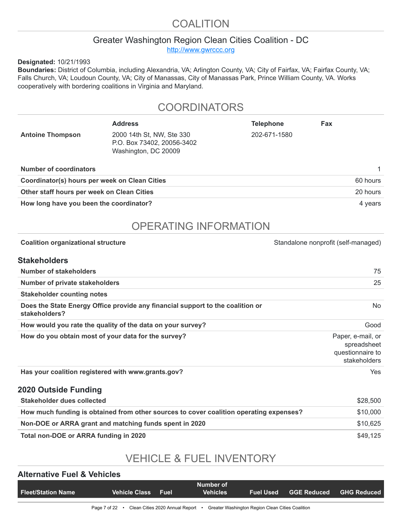### COALITION

### Greater Washington Region Clean Cities Coalition - DC

[http://www.gwrccc.org](http://www.gwrccc.org/)

**Designated:** 10/21/1993

**Boundaries:** District of Columbia, including Alexandria, VA; Arlington County, VA; City of Fairfax, VA; Fairfax County, VA; Falls Church, VA; Loudoun County, VA; City of Manassas, City of Manassas Park, Prince William County, VA. Works cooperatively with bordering coalitions in Virginia and Maryland.

### **COORDINATORS**

|                                               | <b>Address</b>                                                                  | <b>Telephone</b> | Fax      |  |  |
|-----------------------------------------------|---------------------------------------------------------------------------------|------------------|----------|--|--|
| <b>Antoine Thompson</b>                       | 2000 14th St, NW, Ste 330<br>P.O. Box 73402, 20056-3402<br>Washington, DC 20009 | 202-671-1580     |          |  |  |
| <b>Number of coordinators</b>                 |                                                                                 |                  |          |  |  |
| Coordinator(s) hours per week on Clean Cities |                                                                                 |                  | 60 hours |  |  |
| Other staff hours per week on Clean Cities    |                                                                                 | 20 hours         |          |  |  |
| How long have you been the coordinator?       |                                                                                 | 4 years          |          |  |  |

## OPERATING INFORMATION

| <b>Coalition organizational structure</b>                                                       | Standalone nonprofit (self-managed)                                  |
|-------------------------------------------------------------------------------------------------|----------------------------------------------------------------------|
| <b>Stakeholders</b>                                                                             |                                                                      |
| Number of stakeholders                                                                          | 75                                                                   |
| Number of private stakeholders                                                                  | 25                                                                   |
| <b>Stakeholder counting notes</b>                                                               |                                                                      |
| Does the State Energy Office provide any financial support to the coalition or<br>stakeholders? | No.                                                                  |
| How would you rate the quality of the data on your survey?                                      | Good                                                                 |
| How do you obtain most of your data for the survey?                                             | Paper, e-mail, or<br>spreadsheet<br>questionnaire to<br>stakeholders |
| Has your coalition registered with www.grants.gov?                                              | <b>Yes</b>                                                           |
| <b>2020 Outside Funding</b>                                                                     |                                                                      |
| <b>Stakeholder dues collected</b>                                                               | \$28,500                                                             |
| How much funding is obtained from other sources to cover coalition operating expenses?          | \$10,000                                                             |
| Non-DOE or ARRA grant and matching funds spent in 2020                                          | \$10,625                                                             |
| Total non-DOE or ARRA funding in 2020                                                           | \$49,125                                                             |

## VEHICLE & FUEL INVENTORY

#### **Alternative Fuel & Vehicles**

| <b>Fleet/Station Name</b> | <b>Vehicle Class</b>                             | <b>Fuel</b> | Number of<br><b>Vehicles</b> | <b>Fuel Used</b>                                 | GGE Reduced GHG Reduced |
|---------------------------|--------------------------------------------------|-------------|------------------------------|--------------------------------------------------|-------------------------|
|                           |                                                  |             |                              |                                                  |                         |
|                           | Page 7 of 22 • Clean Cities 2020 Annual Report • |             |                              | Greater Washington Region Clean Cities Coalition |                         |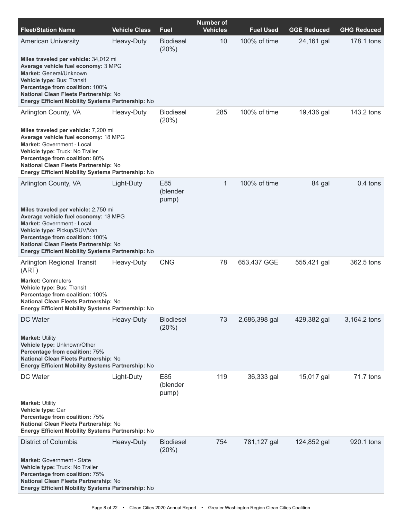| <b>Fleet/Station Name</b>                                                                                                                                                                                                                                                                 | <b>Vehicle Class</b> | <b>Fuel</b>               | <b>Number of</b><br><b>Vehicles</b> | <b>Fuel Used</b> | <b>GGE Reduced</b> | <b>GHG Reduced</b> |
|-------------------------------------------------------------------------------------------------------------------------------------------------------------------------------------------------------------------------------------------------------------------------------------------|----------------------|---------------------------|-------------------------------------|------------------|--------------------|--------------------|
| <b>American University</b>                                                                                                                                                                                                                                                                | Heavy-Duty           | <b>Biodiesel</b><br>(20%) | 10                                  | 100% of time     | 24,161 gal         | 178.1 tons         |
| Miles traveled per vehicle: 34,012 mi<br>Average vehicle fuel economy: 3 MPG<br>Market: General/Unknown<br>Vehicle type: Bus: Transit<br>Percentage from coalition: 100%<br>National Clean Fleets Partnership: No<br>Energy Efficient Mobility Systems Partnership: No                    |                      |                           |                                     |                  |                    |                    |
| Arlington County, VA                                                                                                                                                                                                                                                                      | Heavy-Duty           | <b>Biodiesel</b><br>(20%) | 285                                 | 100% of time     | 19,436 gal         | 143.2 tons         |
| Miles traveled per vehicle: 7,200 mi<br>Average vehicle fuel economy: 18 MPG<br><b>Market: Government - Local</b><br>Vehicle type: Truck: No Trailer<br>Percentage from coalition: 80%<br>National Clean Fleets Partnership: No<br>Energy Efficient Mobility Systems Partnership: No      |                      |                           |                                     |                  |                    |                    |
| Arlington County, VA                                                                                                                                                                                                                                                                      | Light-Duty           | E85<br>(blender<br>pump)  | $\mathbf{1}$                        | 100% of time     | 84 gal             | $0.4$ tons         |
| Miles traveled per vehicle: 2,750 mi<br>Average vehicle fuel economy: 18 MPG<br><b>Market: Government - Local</b><br>Vehicle type: Pickup/SUV/Van<br>Percentage from coalition: 100%<br>National Clean Fleets Partnership: No<br><b>Energy Efficient Mobility Systems Partnership: No</b> |                      |                           |                                     |                  |                    |                    |
| Arlington Regional Transit<br>(ART)                                                                                                                                                                                                                                                       | Heavy-Duty           | <b>CNG</b>                | 78                                  | 653,437 GGE      | 555,421 gal        | 362.5 tons         |
| <b>Market: Commuters</b><br>Vehicle type: Bus: Transit<br>Percentage from coalition: 100%<br>National Clean Fleets Partnership: No<br>Energy Efficient Mobility Systems Partnership: No                                                                                                   |                      |                           |                                     |                  |                    |                    |
| DC Water                                                                                                                                                                                                                                                                                  | Heavy-Duty           | <b>Biodiesel</b><br>(20%) | 73                                  | 2,686,398 gal    | 429,382 gal        | 3,164.2 tons       |
| <b>Market: Utility</b><br>Vehicle type: Unknown/Other<br>Percentage from coalition: 75%<br>National Clean Fleets Partnership: No<br><b>Energy Efficient Mobility Systems Partnership: No</b>                                                                                              |                      |                           |                                     |                  |                    |                    |
| DC Water                                                                                                                                                                                                                                                                                  | Light-Duty           | E85<br>(blender<br>pump)  | 119                                 | 36,333 gal       | 15,017 gal         | 71.7 tons          |
| <b>Market: Utility</b><br>Vehicle type: Car<br>Percentage from coalition: 75%<br>National Clean Fleets Partnership: No<br>Energy Efficient Mobility Systems Partnership: No                                                                                                               |                      |                           |                                     |                  |                    |                    |
| District of Columbia                                                                                                                                                                                                                                                                      | Heavy-Duty           | <b>Biodiesel</b><br>(20%) | 754                                 | 781,127 gal      | 124,852 gal        | 920.1 tons         |
| <b>Market: Government - State</b><br>Vehicle type: Truck: No Trailer<br>Percentage from coalition: 75%<br>National Clean Fleets Partnership: No<br><b>Energy Efficient Mobility Systems Partnership: No</b>                                                                               |                      |                           |                                     |                  |                    |                    |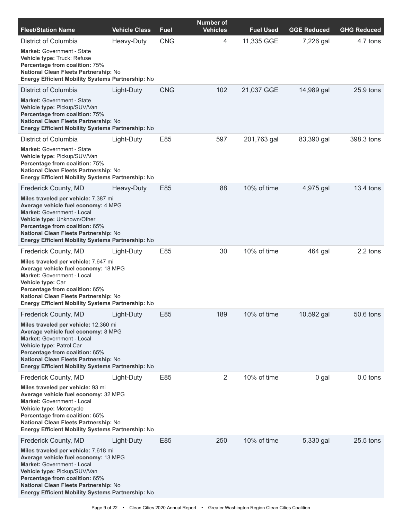| <b>Fleet/Station Name</b>                                                                                                                                                                                                                                                                                             | <b>Vehicle Class</b> | <b>Fuel</b> | <b>Number of</b><br><b>Vehicles</b> | <b>Fuel Used</b> | <b>GGE Reduced</b> | <b>GHG Reduced</b> |
|-----------------------------------------------------------------------------------------------------------------------------------------------------------------------------------------------------------------------------------------------------------------------------------------------------------------------|----------------------|-------------|-------------------------------------|------------------|--------------------|--------------------|
| District of Columbia<br><b>Market: Government - State</b><br>Vehicle type: Truck: Refuse<br>Percentage from coalition: 75%<br>National Clean Fleets Partnership: No<br>Energy Efficient Mobility Systems Partnership: No                                                                                              | Heavy-Duty           | <b>CNG</b>  | 4                                   | 11,335 GGE       | 7,226 gal          | 4.7 tons           |
| District of Columbia<br><b>Market: Government - State</b><br>Vehicle type: Pickup/SUV/Van<br>Percentage from coalition: 75%<br>National Clean Fleets Partnership: No<br>Energy Efficient Mobility Systems Partnership: No                                                                                             | Light-Duty           | <b>CNG</b>  | 102                                 | 21,037 GGE       | 14,989 gal         | $25.9$ tons        |
| District of Columbia<br><b>Market: Government - State</b><br>Vehicle type: Pickup/SUV/Van<br>Percentage from coalition: 75%<br>National Clean Fleets Partnership: No<br>Energy Efficient Mobility Systems Partnership: No                                                                                             | Light-Duty           | E85         | 597                                 | 201,763 gal      | 83,390 gal         | 398.3 tons         |
| <b>Frederick County, MD</b><br>Miles traveled per vehicle: 7,387 mi<br>Average vehicle fuel economy: 4 MPG<br>Market: Government - Local<br>Vehicle type: Unknown/Other<br>Percentage from coalition: 65%<br><b>National Clean Fleets Partnership: No</b><br><b>Energy Efficient Mobility Systems Partnership: No</b> | Heavy-Duty           | E85         | 88                                  | 10% of time      | 4,975 gal          | 13.4 tons          |
| <b>Frederick County, MD</b><br>Miles traveled per vehicle: 7,647 mi<br>Average vehicle fuel economy: 18 MPG<br>Market: Government - Local<br>Vehicle type: Car<br>Percentage from coalition: 65%<br>National Clean Fleets Partnership: No<br>Energy Efficient Mobility Systems Partnership: No                        | Light-Duty           | E85         | 30                                  | 10% of time      | 464 gal            | 2.2 tons           |
| Frederick County, MD<br>Miles traveled per vehicle: 12,360 mi<br>Average vehicle fuel economy: 8 MPG<br><b>Market: Government - Local</b><br>Vehicle type: Patrol Car<br>Percentage from coalition: 65%<br>National Clean Fleets Partnership: No<br><b>Energy Efficient Mobility Systems Partnership: No</b>          | Light-Duty           | E85         | 189                                 | 10% of time      | 10,592 gal         | 50.6 tons          |
| Frederick County, MD<br>Miles traveled per vehicle: 93 mi<br>Average vehicle fuel economy: 32 MPG<br><b>Market: Government - Local</b><br>Vehicle type: Motorcycle<br>Percentage from coalition: 65%<br>National Clean Fleets Partnership: No<br><b>Energy Efficient Mobility Systems Partnership: No</b>             | Light-Duty           | E85         | 2                                   | 10% of time      | 0 gal              | $0.0$ tons         |
| Frederick County, MD<br>Miles traveled per vehicle: 7,618 mi<br>Average vehicle fuel economy: 13 MPG<br><b>Market: Government - Local</b><br>Vehicle type: Pickup/SUV/Van<br>Percentage from coalition: 65%<br>National Clean Fleets Partnership: No<br>Energy Efficient Mobility Systems Partnership: No             | Light-Duty           | E85         | 250                                 | 10% of time      | 5,330 gal          | $25.5$ tons        |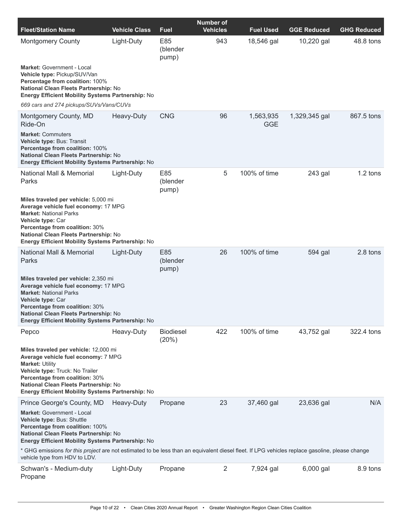| <b>Fleet/Station Name</b>                                                                                                                                                                                                                                                 | <b>Vehicle Class</b> | Fuel                      | <b>Number of</b><br><b>Vehicles</b> | <b>Fuel Used</b>        | <b>GGE Reduced</b> | <b>GHG Reduced</b> |
|---------------------------------------------------------------------------------------------------------------------------------------------------------------------------------------------------------------------------------------------------------------------------|----------------------|---------------------------|-------------------------------------|-------------------------|--------------------|--------------------|
| <b>Montgomery County</b>                                                                                                                                                                                                                                                  | Light-Duty           | E85<br>(blender<br>pump)  | 943                                 | 18,546 gal              | 10,220 gal         | 48.8 tons          |
| <b>Market: Government - Local</b><br>Vehicle type: Pickup/SUV/Van<br>Percentage from coalition: 100%<br>National Clean Fleets Partnership: No<br>Energy Efficient Mobility Systems Partnership: No                                                                        |                      |                           |                                     |                         |                    |                    |
| 669 cars and 274 pickups/SUVs/Vans/CUVs                                                                                                                                                                                                                                   |                      |                           |                                     |                         |                    |                    |
| Montgomery County, MD<br>Ride-On                                                                                                                                                                                                                                          | Heavy-Duty           | <b>CNG</b>                | 96                                  | 1,563,935<br><b>GGE</b> | 1,329,345 gal      | 867.5 tons         |
| <b>Market: Commuters</b><br>Vehicle type: Bus: Transit<br>Percentage from coalition: 100%<br>National Clean Fleets Partnership: No<br>Energy Efficient Mobility Systems Partnership: No                                                                                   |                      |                           |                                     |                         |                    |                    |
| <b>National Mall &amp; Memorial</b><br>Parks                                                                                                                                                                                                                              | Light-Duty           | E85<br>(blender<br>pump)  | 5                                   | 100% of time            | 243 gal            | 1.2 tons           |
| Miles traveled per vehicle: 5,000 mi<br>Average vehicle fuel economy: 17 MPG<br><b>Market: National Parks</b><br>Vehicle type: Car<br>Percentage from coalition: 30%<br>National Clean Fleets Partnership: No<br>Energy Efficient Mobility Systems Partnership: No        |                      |                           |                                     |                         |                    |                    |
| National Mall & Memorial<br>Parks                                                                                                                                                                                                                                         | Light-Duty           | E85<br>(blender<br>pump)  | 26                                  | 100% of time            | 594 gal            | 2.8 tons           |
| Miles traveled per vehicle: 2,350 mi<br>Average vehicle fuel economy: 17 MPG<br><b>Market: National Parks</b><br>Vehicle type: Car<br>Percentage from coalition: 30%<br>National Clean Fleets Partnership: No<br>Energy Efficient Mobility Systems Partnership: No        |                      |                           |                                     |                         |                    |                    |
| Pepco                                                                                                                                                                                                                                                                     | Heavy-Duty           | <b>Biodiesel</b><br>(20%) | 422                                 | 100% of time            | 43,752 gal         | 322.4 tons         |
| Miles traveled per vehicle: 12,000 mi<br>Average vehicle fuel economy: 7 MPG<br><b>Market: Utility</b><br>Vehicle type: Truck: No Trailer<br>Percentage from coalition: 30%<br>National Clean Fleets Partnership: No<br>Energy Efficient Mobility Systems Partnership: No |                      |                           |                                     |                         |                    |                    |
| Prince George's County, MD                                                                                                                                                                                                                                                | Heavy-Duty           | Propane                   | 23                                  | 37,460 gal              | 23,636 gal         | N/A                |
| Market: Government - Local<br>Vehicle type: Bus: Shuttle<br>Percentage from coalition: 100%<br>National Clean Fleets Partnership: No<br><b>Energy Efficient Mobility Systems Partnership: No</b>                                                                          |                      |                           |                                     |                         |                    |                    |
| * GHG emissions for this project are not estimated to be less than an equivalent diesel fleet. If LPG vehicles replace gasoline, please change<br>vehicle type from HDV to LDV.                                                                                           |                      |                           |                                     |                         |                    |                    |
| Schwan's - Medium-duty<br>Propane                                                                                                                                                                                                                                         | Light-Duty           | Propane                   | $\overline{2}$                      | 7,924 gal               | 6,000 gal          | 8.9 tons           |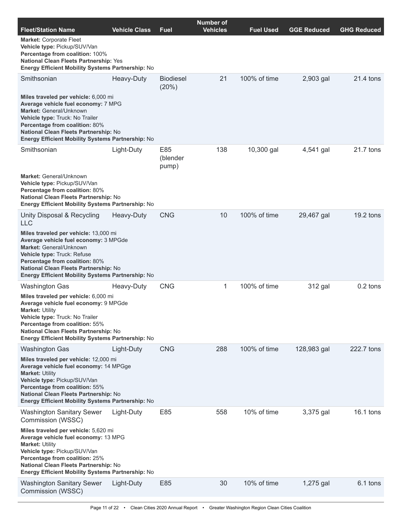| <b>Fleet/Station Name</b>                                                                                                                                                                                                                                                         | <b>Vehicle Class</b> | Fuel                      | <b>Number of</b><br><b>Vehicles</b> | <b>Fuel Used</b> | <b>GGE Reduced</b> | <b>GHG Reduced</b> |
|-----------------------------------------------------------------------------------------------------------------------------------------------------------------------------------------------------------------------------------------------------------------------------------|----------------------|---------------------------|-------------------------------------|------------------|--------------------|--------------------|
| <b>Market: Corporate Fleet</b><br>Vehicle type: Pickup/SUV/Van<br>Percentage from coalition: 100%<br>National Clean Fleets Partnership: Yes<br>Energy Efficient Mobility Systems Partnership: No                                                                                  |                      |                           |                                     |                  |                    |                    |
| Smithsonian                                                                                                                                                                                                                                                                       | Heavy-Duty           | <b>Biodiesel</b><br>(20%) | 21                                  | 100% of time     | 2,903 gal          | 21.4 tons          |
| Miles traveled per vehicle: 6,000 mi<br>Average vehicle fuel economy: 7 MPG<br>Market: General/Unknown<br>Vehicle type: Truck: No Trailer<br>Percentage from coalition: 80%<br>National Clean Fleets Partnership: No<br>Energy Efficient Mobility Systems Partnership: No         |                      |                           |                                     |                  |                    |                    |
| Smithsonian                                                                                                                                                                                                                                                                       | Light-Duty           | E85<br>(blender<br>pump)  | 138                                 | 10,300 gal       | 4,541 gal          | 21.7 tons          |
| Market: General/Unknown<br>Vehicle type: Pickup/SUV/Van<br>Percentage from coalition: 80%<br>National Clean Fleets Partnership: No<br><b>Energy Efficient Mobility Systems Partnership: No</b>                                                                                    |                      |                           |                                     |                  |                    |                    |
| Unity Disposal & Recycling<br><b>LLC</b>                                                                                                                                                                                                                                          | Heavy-Duty           | <b>CNG</b>                | 10                                  | 100% of time     | 29,467 gal         | $19.2$ tons        |
| Miles traveled per vehicle: 13,000 mi<br>Average vehicle fuel economy: 3 MPGde<br>Market: General/Unknown<br>Vehicle type: Truck: Refuse<br>Percentage from coalition: 80%<br>National Clean Fleets Partnership: No<br><b>Energy Efficient Mobility Systems Partnership: No</b>   |                      |                           |                                     |                  |                    |                    |
| <b>Washington Gas</b>                                                                                                                                                                                                                                                             | Heavy-Duty           | <b>CNG</b>                | 1                                   | 100% of time     | 312 gal            | 0.2 tons           |
| Miles traveled per vehicle: 6,000 mi<br>Average vehicle fuel economy: 9 MPGde<br><b>Market: Utility</b><br>Vehicle type: Truck: No Trailer<br>Percentage from coalition: 55%<br>National Clean Fleets Partnership: No<br><b>Energy Efficient Mobility Systems Partnership: No</b> |                      |                           |                                     |                  |                    |                    |
| <b>Washington Gas</b>                                                                                                                                                                                                                                                             | Light-Duty           | <b>CNG</b>                | 288                                 | 100% of time     | 128,983 gal        | 222.7 tons         |
| Miles traveled per vehicle: 12,000 mi<br>Average vehicle fuel economy: 14 MPGge<br><b>Market: Utility</b><br>Vehicle type: Pickup/SUV/Van<br>Percentage from coalition: 55%<br>National Clean Fleets Partnership: No<br><b>Energy Efficient Mobility Systems Partnership: No</b>  |                      |                           |                                     |                  |                    |                    |
| <b>Washington Sanitary Sewer</b><br>Commission (WSSC)                                                                                                                                                                                                                             | Light-Duty           | E85                       | 558                                 | 10% of time      | 3,375 gal          | $16.1$ tons        |
| Miles traveled per vehicle: 5,620 mi<br>Average vehicle fuel economy: 13 MPG<br><b>Market: Utility</b><br>Vehicle type: Pickup/SUV/Van<br>Percentage from coalition: 25%<br>National Clean Fleets Partnership: No<br><b>Energy Efficient Mobility Systems Partnership: No</b>     |                      |                           |                                     |                  |                    |                    |
| <b>Washington Sanitary Sewer</b><br>Commission (WSSC)                                                                                                                                                                                                                             | Light-Duty           | E85                       | 30                                  | 10% of time      | 1,275 gal          | 6.1 tons           |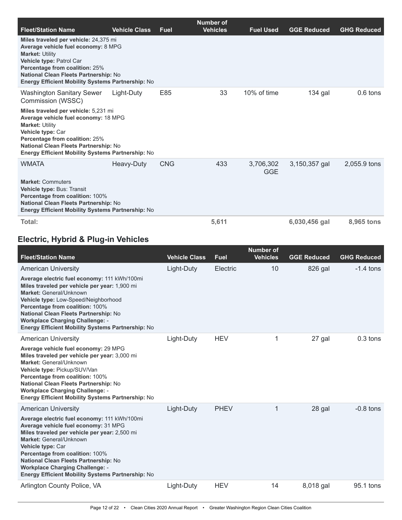|                                                                                                                                                                                                                                                                                  |                      |             | Number of       |                         |                    |                    |
|----------------------------------------------------------------------------------------------------------------------------------------------------------------------------------------------------------------------------------------------------------------------------------|----------------------|-------------|-----------------|-------------------------|--------------------|--------------------|
| <b>Fleet/Station Name</b>                                                                                                                                                                                                                                                        | <b>Vehicle Class</b> | <b>Fuel</b> | <b>Vehicles</b> | <b>Fuel Used</b>        | <b>GGE Reduced</b> | <b>GHG Reduced</b> |
| Miles traveled per vehicle: 24,375 mi<br>Average vehicle fuel economy: 8 MPG<br><b>Market: Utility</b><br>Vehicle type: Patrol Car<br><b>Percentage from coalition: 25%</b><br>National Clean Fleets Partnership: No<br><b>Energy Efficient Mobility Systems Partnership: No</b> |                      |             |                 |                         |                    |                    |
| <b>Washington Sanitary Sewer</b><br>Commission (WSSC)                                                                                                                                                                                                                            | Light-Duty           | E85         | 33              | 10% of time             | $134$ gal          | $0.6$ tons         |
| Miles traveled per vehicle: 5,231 mi<br>Average vehicle fuel economy: 18 MPG<br><b>Market: Utility</b><br>Vehicle type: Car<br><b>Percentage from coalition: 25%</b><br>National Clean Fleets Partnership: No<br><b>Energy Efficient Mobility Systems Partnership: No</b>        |                      |             |                 |                         |                    |                    |
| WMATA                                                                                                                                                                                                                                                                            | Heavy-Duty           | <b>CNG</b>  | 433             | 3,706,302<br><b>GGE</b> | 3,150,357 gal      | 2,055.9 tons       |
| <b>Market: Commuters</b><br>Vehicle type: Bus: Transit<br><b>Percentage from coalition: 100%</b><br>National Clean Fleets Partnership: No<br><b>Energy Efficient Mobility Systems Partnership: No</b>                                                                            |                      |             |                 |                         |                    |                    |
| Total:                                                                                                                                                                                                                                                                           |                      |             | 5,611           |                         | 6,030,456 gal      | 8,965 tons         |

### **Electric, Hybrid & Plug-in Vehicles**

|                                                                                                                                                                                                                                                                                                                                                                         |                      |             | <b>Number of</b> |                    |                    |
|-------------------------------------------------------------------------------------------------------------------------------------------------------------------------------------------------------------------------------------------------------------------------------------------------------------------------------------------------------------------------|----------------------|-------------|------------------|--------------------|--------------------|
| <b>Fleet/Station Name</b>                                                                                                                                                                                                                                                                                                                                               | <b>Vehicle Class</b> | <b>Fuel</b> | <b>Vehicles</b>  | <b>GGE Reduced</b> | <b>GHG Reduced</b> |
| <b>American University</b>                                                                                                                                                                                                                                                                                                                                              | Light-Duty           | Electric    | 10               | 826 gal            | $-1.4$ tons        |
| Average electric fuel economy: 111 kWh/100mi<br>Miles traveled per vehicle per year: 1,900 mi<br>Market: General/Unknown<br>Vehicle type: Low-Speed/Neighborhood<br>Percentage from coalition: 100%<br><b>National Clean Fleets Partnership: No</b><br><b>Workplace Charging Challenge: -</b><br>Energy Efficient Mobility Systems Partnership: No                      |                      |             |                  |                    |                    |
| <b>American University</b>                                                                                                                                                                                                                                                                                                                                              | Light-Duty           | <b>HEV</b>  | 1                | 27 gal             | $0.3$ tons         |
| Average vehicle fuel economy: 29 MPG<br>Miles traveled per vehicle per year: 3,000 mi<br>Market: General/Unknown<br>Vehicle type: Pickup/SUV/Van<br>Percentage from coalition: 100%<br>National Clean Fleets Partnership: No<br><b>Workplace Charging Challenge: -</b><br><b>Energy Efficient Mobility Systems Partnership: No</b>                                      |                      |             |                  |                    |                    |
| <b>American University</b>                                                                                                                                                                                                                                                                                                                                              | Light-Duty           | <b>PHEV</b> | 1                | 28 gal             | $-0.8$ tons        |
| Average electric fuel economy: 111 kWh/100mi<br>Average vehicle fuel economy: 31 MPG<br>Miles traveled per vehicle per year: 2,500 mi<br>Market: General/Unknown<br>Vehicle type: Car<br>Percentage from coalition: 100%<br>National Clean Fleets Partnership: No<br><b>Workplace Charging Challenge: -</b><br><b>Energy Efficient Mobility Systems Partnership: No</b> |                      |             |                  |                    |                    |
| Arlington County Police, VA                                                                                                                                                                                                                                                                                                                                             | Light-Duty           | <b>HEV</b>  | 14               | 8,018 gal          | 95.1 tons          |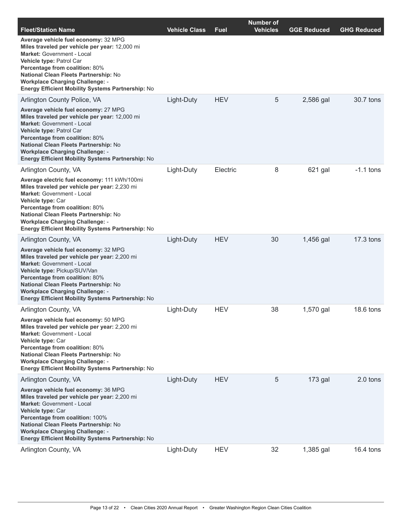| <b>Fleet/Station Name</b>                                                                                                                                                                                                                                                                                                                       | <b>Vehicle Class</b> | <b>Fuel</b> | <b>Number of</b><br><b>Vehicles</b> | <b>GGE Reduced</b> | <b>GHG Reduced</b> |
|-------------------------------------------------------------------------------------------------------------------------------------------------------------------------------------------------------------------------------------------------------------------------------------------------------------------------------------------------|----------------------|-------------|-------------------------------------|--------------------|--------------------|
| Average vehicle fuel economy: 32 MPG<br>Miles traveled per vehicle per year: 12,000 mi<br>Market: Government - Local<br>Vehicle type: Patrol Car<br>Percentage from coalition: 80%<br>National Clean Fleets Partnership: No<br><b>Workplace Charging Challenge: -</b><br>Energy Efficient Mobility Systems Partnership: No                      |                      |             |                                     |                    |                    |
| Arlington County Police, VA                                                                                                                                                                                                                                                                                                                     | Light-Duty           | <b>HEV</b>  | 5                                   | 2,586 gal          | 30.7 tons          |
| Average vehicle fuel economy: 27 MPG<br>Miles traveled per vehicle per year: 12,000 mi<br><b>Market:</b> Government - Local<br>Vehicle type: Patrol Car<br>Percentage from coalition: 80%<br><b>National Clean Fleets Partnership: No</b><br><b>Workplace Charging Challenge: -</b><br><b>Energy Efficient Mobility Systems Partnership: No</b> |                      |             |                                     |                    |                    |
| Arlington County, VA                                                                                                                                                                                                                                                                                                                            | Light-Duty           | Electric    | 8                                   | 621 gal            | $-1.1$ tons        |
| Average electric fuel economy: 111 kWh/100mi<br>Miles traveled per vehicle per year: 2,230 mi<br><b>Market: Government - Local</b><br>Vehicle type: Car<br>Percentage from coalition: 80%<br>National Clean Fleets Partnership: No<br><b>Workplace Charging Challenge: -</b><br>Energy Efficient Mobility Systems Partnership: No               |                      |             |                                     |                    |                    |
| Arlington County, VA                                                                                                                                                                                                                                                                                                                            | Light-Duty           | <b>HEV</b>  | 30                                  | 1,456 gal          | 17.3 tons          |
| Average vehicle fuel economy: 32 MPG<br>Miles traveled per vehicle per year: 2,200 mi<br><b>Market:</b> Government - Local<br>Vehicle type: Pickup/SUV/Van<br>Percentage from coalition: 80%<br>National Clean Fleets Partnership: No<br><b>Workplace Charging Challenge: -</b><br><b>Energy Efficient Mobility Systems Partnership: No</b>     |                      |             |                                     |                    |                    |
| Arlington County, VA                                                                                                                                                                                                                                                                                                                            | Light-Duty           | <b>HEV</b>  | 38                                  | 1,570 gal          | 18.6 tons          |
| Average vehicle fuel economy: 50 MPG<br>Miles traveled per vehicle per year: 2,200 mi<br>Market: Government - Local<br>Vehicle type: Car<br>Percentage from coalition: 80%<br>National Clean Fleets Partnership: No<br><b>Workplace Charging Challenge: -</b><br>Energy Efficient Mobility Systems Partnership: No                              |                      |             |                                     |                    |                    |
| Arlington County, VA                                                                                                                                                                                                                                                                                                                            | Light-Duty           | <b>HEV</b>  | 5                                   | 173 gal            | 2.0 tons           |
| Average vehicle fuel economy: 36 MPG<br>Miles traveled per vehicle per year: 2,200 mi<br><b>Market: Government - Local</b><br>Vehicle type: Car<br>Percentage from coalition: 100%<br><b>National Clean Fleets Partnership: No</b><br><b>Workplace Charging Challenge: -</b><br><b>Energy Efficient Mobility Systems Partnership: No</b>        |                      |             |                                     |                    |                    |
| Arlington County, VA                                                                                                                                                                                                                                                                                                                            | Light-Duty           | <b>HEV</b>  | 32                                  | 1,385 gal          | $16.4$ tons        |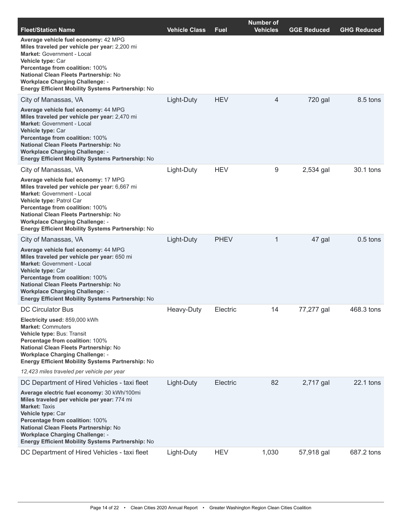| <b>Fleet/Station Name</b>                                                                                                                                                                                                                                                                                                                | <b>Vehicle Class</b> | Fuel        | <b>Number of</b><br><b>Vehicles</b> | <b>GGE Reduced</b> | <b>GHG Reduced</b> |
|------------------------------------------------------------------------------------------------------------------------------------------------------------------------------------------------------------------------------------------------------------------------------------------------------------------------------------------|----------------------|-------------|-------------------------------------|--------------------|--------------------|
| Average vehicle fuel economy: 42 MPG<br>Miles traveled per vehicle per year: 2,200 mi<br><b>Market: Government - Local</b><br>Vehicle type: Car<br>Percentage from coalition: 100%<br>National Clean Fleets Partnership: No<br><b>Workplace Charging Challenge: -</b><br>Energy Efficient Mobility Systems Partnership: No               |                      |             |                                     |                    |                    |
| City of Manassas, VA                                                                                                                                                                                                                                                                                                                     | Light-Duty           | <b>HEV</b>  | 4                                   | 720 gal            | 8.5 tons           |
| Average vehicle fuel economy: 44 MPG<br>Miles traveled per vehicle per year: 2,470 mi<br><b>Market: Government - Local</b><br>Vehicle type: Car<br>Percentage from coalition: 100%<br>National Clean Fleets Partnership: No<br><b>Workplace Charging Challenge: -</b><br><b>Energy Efficient Mobility Systems Partnership: No</b>        |                      |             |                                     |                    |                    |
| City of Manassas, VA                                                                                                                                                                                                                                                                                                                     | Light-Duty           | <b>HEV</b>  | 9                                   | 2,534 gal          | 30.1 tons          |
| Average vehicle fuel economy: 17 MPG<br>Miles traveled per vehicle per year: 6,667 mi<br><b>Market: Government - Local</b><br>Vehicle type: Patrol Car<br>Percentage from coalition: 100%<br>National Clean Fleets Partnership: No<br><b>Workplace Charging Challenge: -</b><br><b>Energy Efficient Mobility Systems Partnership: No</b> |                      |             |                                     |                    |                    |
| City of Manassas, VA                                                                                                                                                                                                                                                                                                                     | Light-Duty           | <b>PHEV</b> | 1                                   | 47 gal             | $0.5$ tons         |
| Average vehicle fuel economy: 44 MPG<br>Miles traveled per vehicle per year: 650 mi<br><b>Market: Government - Local</b><br>Vehicle type: Car<br>Percentage from coalition: 100%<br>National Clean Fleets Partnership: No<br><b>Workplace Charging Challenge: -</b><br><b>Energy Efficient Mobility Systems Partnership: No</b>          |                      |             |                                     |                    |                    |
| <b>DC Circulator Bus</b>                                                                                                                                                                                                                                                                                                                 | Heavy-Duty           | Electric    | 14                                  | 77,277 gal         | 468.3 tons         |
| Electricity used: 859,000 kWh<br><b>Market: Commuters</b><br>Vehicle type: Bus: Transit<br>Percentage from coalition: 100%<br>National Clean Fleets Partnership: No<br><b>Workplace Charging Challenge: -</b><br><b>Energy Efficient Mobility Systems Partnership: No</b>                                                                |                      |             |                                     |                    |                    |
| 12,423 miles traveled per vehicle per year                                                                                                                                                                                                                                                                                               |                      |             |                                     |                    |                    |
| DC Department of Hired Vehicles - taxi fleet                                                                                                                                                                                                                                                                                             | Light-Duty           | Electric    | 82                                  | 2,717 gal          | 22.1 tons          |
| Average electric fuel economy: 30 kWh/100mi<br>Miles traveled per vehicle per year: 774 mi<br><b>Market: Taxis</b><br>Vehicle type: Car<br>Percentage from coalition: 100%<br>National Clean Fleets Partnership: No<br><b>Workplace Charging Challenge: -</b><br>Energy Efficient Mobility Systems Partnership: No                       |                      |             |                                     |                    |                    |
| DC Department of Hired Vehicles - taxi fleet                                                                                                                                                                                                                                                                                             | Light-Duty           | <b>HEV</b>  | 1,030                               | 57,918 gal         | 687.2 tons         |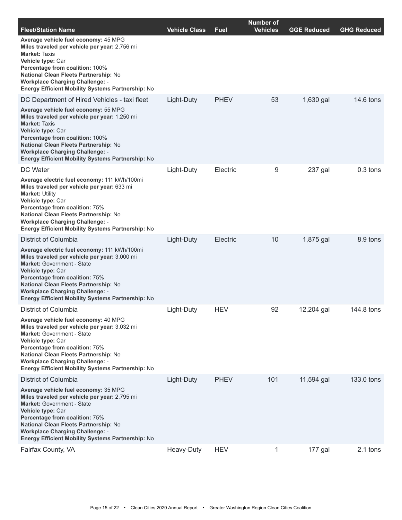| <b>Fleet/Station Name</b>                                                                                                                                                                                                                                                                                                                | <b>Vehicle Class</b> | <b>Fuel</b> | <b>Number of</b><br><b>Vehicles</b> | <b>GGE Reduced</b> | <b>GHG Reduced</b> |
|------------------------------------------------------------------------------------------------------------------------------------------------------------------------------------------------------------------------------------------------------------------------------------------------------------------------------------------|----------------------|-------------|-------------------------------------|--------------------|--------------------|
| Average vehicle fuel economy: 45 MPG<br>Miles traveled per vehicle per year: 2,756 mi<br><b>Market: Taxis</b><br>Vehicle type: Car<br>Percentage from coalition: 100%<br>National Clean Fleets Partnership: No<br><b>Workplace Charging Challenge: -</b><br>Energy Efficient Mobility Systems Partnership: No                            |                      |             |                                     |                    |                    |
| DC Department of Hired Vehicles - taxi fleet                                                                                                                                                                                                                                                                                             | Light-Duty           | <b>PHEV</b> | 53                                  | 1,630 gal          | 14.6 tons          |
| Average vehicle fuel economy: 55 MPG<br>Miles traveled per vehicle per year: 1,250 mi<br><b>Market: Taxis</b><br>Vehicle type: Car<br>Percentage from coalition: 100%<br>National Clean Fleets Partnership: No<br><b>Workplace Charging Challenge: -</b><br>Energy Efficient Mobility Systems Partnership: No                            |                      |             |                                     |                    |                    |
| <b>DC</b> Water                                                                                                                                                                                                                                                                                                                          | Light-Duty           | Electric    | 9                                   | 237 gal            | $0.3$ tons         |
| Average electric fuel economy: 111 kWh/100mi<br>Miles traveled per vehicle per year: 633 mi<br><b>Market: Utility</b><br>Vehicle type: Car<br>Percentage from coalition: 75%<br>National Clean Fleets Partnership: No<br><b>Workplace Charging Challenge: -</b><br><b>Energy Efficient Mobility Systems Partnership: No</b>              |                      |             |                                     |                    |                    |
| District of Columbia                                                                                                                                                                                                                                                                                                                     | Light-Duty           | Electric    | 10                                  | 1,875 gal          | 8.9 tons           |
| Average electric fuel economy: 111 kWh/100mi<br>Miles traveled per vehicle per year: 3,000 mi<br><b>Market: Government - State</b><br>Vehicle type: Car<br>Percentage from coalition: 75%<br>National Clean Fleets Partnership: No<br><b>Workplace Charging Challenge: -</b><br><b>Energy Efficient Mobility Systems Partnership: No</b> |                      |             |                                     |                    |                    |
| District of Columbia                                                                                                                                                                                                                                                                                                                     | Light-Duty           | <b>HEV</b>  | 92                                  | 12,204 gal         | 144.8 tons         |
| Average vehicle fuel economy: 40 MPG<br>Miles traveled per vehicle per year: 3,032 mi<br>Market: Government - State<br>Vehicle type: Car<br>Percentage from coalition: 75%<br>National Clean Fleets Partnership: No<br><b>Workplace Charging Challenge: -</b><br>Energy Efficient Mobility Systems Partnership: No                       |                      |             |                                     |                    |                    |
| District of Columbia                                                                                                                                                                                                                                                                                                                     | Light-Duty           | <b>PHEV</b> | 101                                 | 11,594 gal         | 133.0 tons         |
| Average vehicle fuel economy: 35 MPG<br>Miles traveled per vehicle per year: 2,795 mi<br>Market: Government - State<br>Vehicle type: Car<br>Percentage from coalition: 75%<br><b>National Clean Fleets Partnership: No</b><br><b>Workplace Charging Challenge: -</b><br><b>Energy Efficient Mobility Systems Partnership: No</b>         |                      |             |                                     |                    |                    |
| Fairfax County, VA                                                                                                                                                                                                                                                                                                                       | Heavy-Duty           | <b>HEV</b>  | 1                                   | 177 gal            | 2.1 tons           |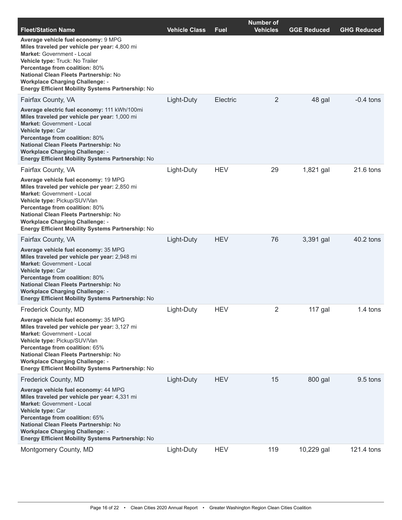| <b>Fleet/Station Name</b>                                                                                                                                                                                                                                                                                                                   | <b>Vehicle Class</b> | <b>Fuel</b> | <b>Number of</b><br><b>Vehicles</b> | <b>GGE Reduced</b> | <b>GHG Reduced</b> |
|---------------------------------------------------------------------------------------------------------------------------------------------------------------------------------------------------------------------------------------------------------------------------------------------------------------------------------------------|----------------------|-------------|-------------------------------------|--------------------|--------------------|
| Average vehicle fuel economy: 9 MPG<br>Miles traveled per vehicle per year: 4,800 mi<br>Market: Government - Local<br>Vehicle type: Truck: No Trailer<br>Percentage from coalition: 80%<br>National Clean Fleets Partnership: No<br><b>Workplace Charging Challenge: -</b><br>Energy Efficient Mobility Systems Partnership: No             |                      |             |                                     |                    |                    |
| Fairfax County, VA                                                                                                                                                                                                                                                                                                                          | Light-Duty           | Electric    | 2                                   | 48 gal             | $-0.4$ tons        |
| Average electric fuel economy: 111 kWh/100mi<br>Miles traveled per vehicle per year: 1,000 mi<br>Market: Government - Local<br>Vehicle type: Car<br>Percentage from coalition: 80%<br><b>National Clean Fleets Partnership: No</b><br><b>Workplace Charging Challenge: -</b><br>Energy Efficient Mobility Systems Partnership: No           |                      |             |                                     |                    |                    |
| Fairfax County, VA                                                                                                                                                                                                                                                                                                                          | Light-Duty           | <b>HEV</b>  | 29                                  | 1,821 gal          | 21.6 tons          |
| Average vehicle fuel economy: 19 MPG<br>Miles traveled per vehicle per year: 2,850 mi<br><b>Market: Government - Local</b><br>Vehicle type: Pickup/SUV/Van<br>Percentage from coalition: 80%<br>National Clean Fleets Partnership: No<br><b>Workplace Charging Challenge: -</b><br><b>Energy Efficient Mobility Systems Partnership: No</b> |                      |             |                                     |                    |                    |
| Fairfax County, VA                                                                                                                                                                                                                                                                                                                          | Light-Duty           | <b>HEV</b>  | 76                                  | 3,391 gal          | 40.2 tons          |
| Average vehicle fuel economy: 35 MPG<br>Miles traveled per vehicle per year: 2,948 mi<br><b>Market: Government - Local</b><br>Vehicle type: Car<br>Percentage from coalition: 80%<br>National Clean Fleets Partnership: No<br><b>Workplace Charging Challenge: -</b><br>Energy Efficient Mobility Systems Partnership: No                   |                      |             |                                     |                    |                    |
| <b>Frederick County, MD</b>                                                                                                                                                                                                                                                                                                                 | Light-Duty           | <b>HEV</b>  | $\overline{2}$                      | $117$ gal          | 1.4 tons           |
| Average vehicle fuel economy: 35 MPG<br>Miles traveled per vehicle per year: 3,127 mi<br>Market: Government - Local<br>Vehicle type: Pickup/SUV/Van<br>Percentage from coalition: 65%<br>National Clean Fleets Partnership: No<br><b>Workplace Charging Challenge: -</b><br>Energy Efficient Mobility Systems Partnership: No               |                      |             |                                     |                    |                    |
| Frederick County, MD                                                                                                                                                                                                                                                                                                                        | Light-Duty           | <b>HEV</b>  | 15                                  | 800 gal            | 9.5 tons           |
| Average vehicle fuel economy: 44 MPG<br>Miles traveled per vehicle per year: 4,331 mi<br>Market: Government - Local<br>Vehicle type: Car<br>Percentage from coalition: 65%<br><b>National Clean Fleets Partnership: No</b><br><b>Workplace Charging Challenge: -</b><br>Energy Efficient Mobility Systems Partnership: No                   |                      |             |                                     |                    |                    |
| Montgomery County, MD                                                                                                                                                                                                                                                                                                                       | Light-Duty           | <b>HEV</b>  | 119                                 | 10,229 gal         | 121.4 tons         |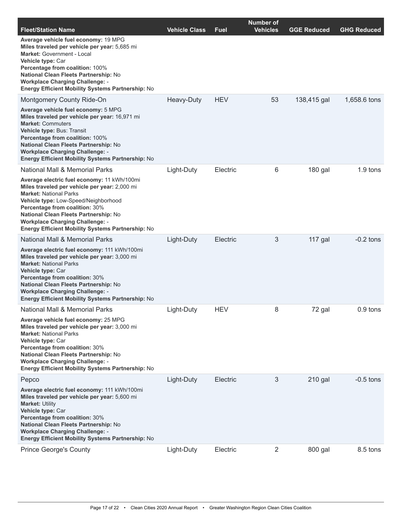| <b>Fleet/Station Name</b>                                                                                                                                                                                                                                                                                                                              | <b>Vehicle Class</b> | Fuel       | <b>Number of</b><br><b>Vehicles</b> | <b>GGE Reduced</b> | <b>GHG Reduced</b> |
|--------------------------------------------------------------------------------------------------------------------------------------------------------------------------------------------------------------------------------------------------------------------------------------------------------------------------------------------------------|----------------------|------------|-------------------------------------|--------------------|--------------------|
| Average vehicle fuel economy: 19 MPG<br>Miles traveled per vehicle per year: 5,685 mi<br>Market: Government - Local<br>Vehicle type: Car<br>Percentage from coalition: 100%<br>National Clean Fleets Partnership: No<br><b>Workplace Charging Challenge: -</b><br><b>Energy Efficient Mobility Systems Partnership: No</b>                             |                      |            |                                     |                    |                    |
| Montgomery County Ride-On                                                                                                                                                                                                                                                                                                                              | Heavy-Duty           | <b>HEV</b> | 53                                  | 138,415 gal        | 1,658.6 tons       |
| Average vehicle fuel economy: 5 MPG<br>Miles traveled per vehicle per year: 16,971 mi<br><b>Market: Commuters</b><br>Vehicle type: Bus: Transit<br>Percentage from coalition: 100%<br><b>National Clean Fleets Partnership: No</b><br><b>Workplace Charging Challenge: -</b><br><b>Energy Efficient Mobility Systems Partnership: No</b>               |                      |            |                                     |                    |                    |
| National Mall & Memorial Parks                                                                                                                                                                                                                                                                                                                         | Light-Duty           | Electric   | 6                                   | 180 gal            | 1.9 tons           |
| Average electric fuel economy: 11 kWh/100mi<br>Miles traveled per vehicle per year: 2,000 mi<br><b>Market: National Parks</b><br>Vehicle type: Low-Speed/Neighborhood<br>Percentage from coalition: 30%<br>National Clean Fleets Partnership: No<br><b>Workplace Charging Challenge: -</b><br><b>Energy Efficient Mobility Systems Partnership: No</b> |                      |            |                                     |                    |                    |
| National Mall & Memorial Parks                                                                                                                                                                                                                                                                                                                         | Light-Duty           | Electric   | 3                                   | 117 gal            | $-0.2$ tons        |
| Average electric fuel economy: 111 kWh/100mi<br>Miles traveled per vehicle per year: 3,000 mi<br><b>Market: National Parks</b><br>Vehicle type: Car<br>Percentage from coalition: 30%<br>National Clean Fleets Partnership: No<br><b>Workplace Charging Challenge: -</b><br><b>Energy Efficient Mobility Systems Partnership: No</b>                   |                      |            |                                     |                    |                    |
| <b>National Mall &amp; Memorial Parks</b>                                                                                                                                                                                                                                                                                                              | Light-Duty           | <b>HEV</b> | 8                                   | 72 gal             | 0.9 tons           |
| Average vehicle fuel economy: 25 MPG<br>Miles traveled per vehicle per year: 3,000 mi<br><b>Market: National Parks</b><br>Vehicle type: Car<br>Percentage from coalition: 30%<br>National Clean Fleets Partnership: No<br><b>Workplace Charging Challenge: -</b><br><b>Energy Efficient Mobility Systems Partnership: No</b>                           |                      |            |                                     |                    |                    |
| Pepco                                                                                                                                                                                                                                                                                                                                                  | Light-Duty           | Electric   | 3                                   | 210 gal            | $-0.5$ tons        |
| Average electric fuel economy: 111 kWh/100mi<br>Miles traveled per vehicle per year: 5,600 mi<br><b>Market: Utility</b><br>Vehicle type: Car<br>Percentage from coalition: 30%<br>National Clean Fleets Partnership: No<br><b>Workplace Charging Challenge: -</b><br><b>Energy Efficient Mobility Systems Partnership: No</b>                          |                      |            |                                     |                    |                    |
| <b>Prince George's County</b>                                                                                                                                                                                                                                                                                                                          | Light-Duty           | Electric   | $\overline{2}$                      | 800 gal            | 8.5 tons           |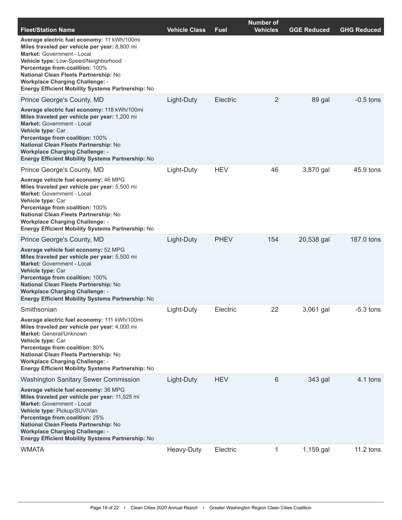| <b>Fleet/Station Name</b>                                                                                                                                                                                                                                                                                                                                   | <b>Vehicle Class</b> | Fuel        | <b>Number of</b><br><b>Vehicles</b> | <b>GGE Reduced</b> | <b>GHG Reduced</b> |
|-------------------------------------------------------------------------------------------------------------------------------------------------------------------------------------------------------------------------------------------------------------------------------------------------------------------------------------------------------------|----------------------|-------------|-------------------------------------|--------------------|--------------------|
| Average electric fuel economy: 11 kWh/100mi<br>Miles traveled per vehicle per year: 8,800 mi<br><b>Market: Government - Local</b><br>Vehicle type: Low-Speed/Neighborhood<br>Percentage from coalition: 100%<br>National Clean Fleets Partnership: No<br><b>Workplace Charging Challenge: -</b><br><b>Energy Efficient Mobility Systems Partnership: No</b> |                      |             |                                     |                    |                    |
| Prince George's County, MD                                                                                                                                                                                                                                                                                                                                  | Light-Duty           | Electric    | 2                                   | 89 gal             | $-0.5$ tons        |
| Average electric fuel economy: 118 kWh/100mi<br>Miles traveled per vehicle per year: 1,200 mi<br><b>Market: Government - Local</b><br>Vehicle type: Car<br>Percentage from coalition: 100%<br>National Clean Fleets Partnership: No<br><b>Workplace Charging Challenge: -</b><br>Energy Efficient Mobility Systems Partnership: No                          |                      |             |                                     |                    |                    |
| Prince George's County, MD                                                                                                                                                                                                                                                                                                                                  | Light-Duty           | <b>HEV</b>  | 46                                  | 3,870 gal          | 45.9 tons          |
| Average vehicle fuel economy: 46 MPG<br>Miles traveled per vehicle per year: 5,500 mi<br><b>Market: Government - Local</b><br>Vehicle type: Car<br>Percentage from coalition: 100%<br>National Clean Fleets Partnership: No<br><b>Workplace Charging Challenge: -</b><br><b>Energy Efficient Mobility Systems Partnership: No</b>                           |                      |             |                                     |                    |                    |
| Prince George's County, MD                                                                                                                                                                                                                                                                                                                                  | Light-Duty           | <b>PHEV</b> | 154                                 | 20,538 gal         | 187.0 tons         |
| Average vehicle fuel economy: 52 MPG<br>Miles traveled per vehicle per year: 5,500 mi<br><b>Market:</b> Government - Local<br>Vehicle type: Car<br>Percentage from coalition: 100%<br>National Clean Fleets Partnership: No<br><b>Workplace Charging Challenge: -</b><br>Energy Efficient Mobility Systems Partnership: No                                  |                      |             |                                     |                    |                    |
| Smithsonian                                                                                                                                                                                                                                                                                                                                                 | Light-Duty           | Electric    | 22                                  | 3,061 gal          | $-5.3$ tons        |
| Average electric fuel economy: 111 kWh/100mi<br>Miles traveled per vehicle per year: 4,000 mi<br>Market: General/Unknown<br>Vehicle type: Car<br>Percentage from coalition: 80%<br>National Clean Fleets Partnership: No<br><b>Workplace Charging Challenge: -</b><br>Energy Efficient Mobility Systems Partnership: No                                     |                      |             |                                     |                    |                    |
| <b>Washington Sanitary Sewer Commission</b>                                                                                                                                                                                                                                                                                                                 | Light-Duty           | <b>HEV</b>  | 6                                   | 343 gal            | 4.1 tons           |
| Average vehicle fuel economy: 36 MPG<br>Miles traveled per vehicle per year: 11,525 mi<br><b>Market: Government - Local</b><br>Vehicle type: Pickup/SUV/Van<br>Percentage from coalition: 25%<br>National Clean Fleets Partnership: No<br><b>Workplace Charging Challenge: -</b><br><b>Energy Efficient Mobility Systems Partnership: No</b>                |                      |             |                                     |                    |                    |
| <b>WMATA</b>                                                                                                                                                                                                                                                                                                                                                | Heavy-Duty           | Electric    | 1                                   | 1,159 gal          | $11.2$ tons        |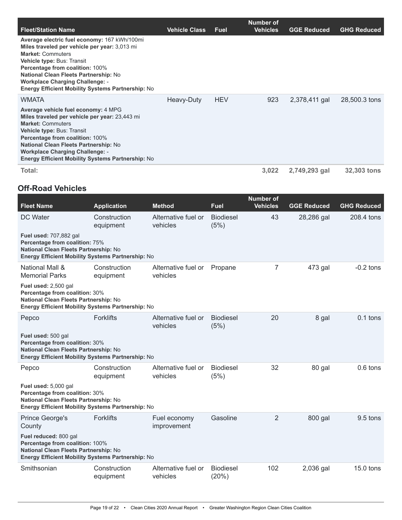|                                                                                                                                                                                                                                                                                                                                                         |                      |             | <b>Number of</b> |                    |                    |
|---------------------------------------------------------------------------------------------------------------------------------------------------------------------------------------------------------------------------------------------------------------------------------------------------------------------------------------------------------|----------------------|-------------|------------------|--------------------|--------------------|
| <b>Fleet/Station Name</b>                                                                                                                                                                                                                                                                                                                               | <b>Vehicle Class</b> | <b>Fuel</b> | <b>Vehicles</b>  | <b>GGE Reduced</b> | <b>GHG Reduced</b> |
| Average electric fuel economy: 167 kWh/100mi<br>Miles traveled per vehicle per year: 3,013 mi<br><b>Market: Commuters</b><br><b>Vehicle type: Bus: Transit</b><br><b>Percentage from coalition: 100%</b><br>National Clean Fleets Partnership: No<br><b>Workplace Charging Challenge: -</b><br><b>Energy Efficient Mobility Systems Partnership: No</b> |                      |             |                  |                    |                    |
| WMATA                                                                                                                                                                                                                                                                                                                                                   | Heavy-Duty           | <b>HEV</b>  | 923              | 2,378,411 gal      | 28,500.3 tons      |
| Average vehicle fuel economy: 4 MPG<br>Miles traveled per vehicle per year: 23,443 mi<br><b>Market: Commuters</b><br><b>Vehicle type: Bus: Transit</b><br>Percentage from coalition: 100%<br>National Clean Fleets Partnership: No<br><b>Workplace Charging Challenge: -</b><br><b>Energy Efficient Mobility Systems Partnership: No</b>                |                      |             |                  |                    |                    |
| Total:                                                                                                                                                                                                                                                                                                                                                  |                      |             | 3,022            | 2,749,293 gal      | <b>32,303 tons</b> |

### **Off-Road Vehicles**

| <b>Fleet Name</b>                                                                                                                                             | <b>Application</b>        | <b>Method</b>                   | <b>Fuel</b>               | <b>Number of</b><br><b>Vehicles</b> | <b>GGE Reduced</b> | <b>GHG Reduced</b> |
|---------------------------------------------------------------------------------------------------------------------------------------------------------------|---------------------------|---------------------------------|---------------------------|-------------------------------------|--------------------|--------------------|
| DC Water                                                                                                                                                      | Construction<br>equipment | Alternative fuel or<br>vehicles | <b>Biodiesel</b><br>(5%)  | 43                                  | 28,286 gal         | 208.4 tons         |
| <b>Fuel used: 707,882 gal</b><br>Percentage from coalition: 75%<br>National Clean Fleets Partnership: No<br>Energy Efficient Mobility Systems Partnership: No |                           |                                 |                           |                                     |                    |                    |
| National Mall &<br><b>Memorial Parks</b>                                                                                                                      | Construction<br>equipment | Alternative fuel or<br>vehicles | Propane                   | 7                                   | 473 gal            | $-0.2$ tons        |
| Fuel used: 2,500 gal<br>Percentage from coalition: 30%<br>National Clean Fleets Partnership: No<br>Energy Efficient Mobility Systems Partnership: No          |                           |                                 |                           |                                     |                    |                    |
| Pepco                                                                                                                                                         | <b>Forklifts</b>          | Alternative fuel or<br>vehicles | <b>Biodiesel</b><br>(5%)  | 20                                  | 8 gal              | $0.1$ tons         |
| Fuel used: 500 gal<br>Percentage from coalition: 30%<br>National Clean Fleets Partnership: No<br>Energy Efficient Mobility Systems Partnership: No            |                           |                                 |                           |                                     |                    |                    |
| Pepco                                                                                                                                                         | Construction<br>equipment | Alternative fuel or<br>vehicles | <b>Biodiesel</b><br>(5%)  | 32                                  | 80 gal             | $0.6$ tons         |
| Fuel used: 5,000 gal<br>Percentage from coalition: 30%<br>National Clean Fleets Partnership: No<br>Energy Efficient Mobility Systems Partnership: No          |                           |                                 |                           |                                     |                    |                    |
| <b>Prince George's</b><br>County                                                                                                                              | <b>Forklifts</b>          | Fuel economy<br>improvement     | Gasoline                  | 2                                   | 800 gal            | $9.5$ tons         |
| Fuel reduced: 800 gal<br>Percentage from coalition: 100%<br>National Clean Fleets Partnership: No<br><b>Energy Efficient Mobility Systems Partnership: No</b> |                           |                                 |                           |                                     |                    |                    |
| Smithsonian                                                                                                                                                   | Construction<br>equipment | Alternative fuel or<br>vehicles | <b>Biodiesel</b><br>(20%) | 102                                 | 2,036 gal          | $15.0$ tons        |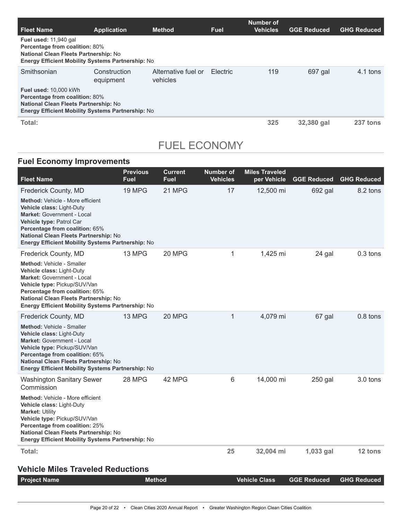| <b>Fleet Name</b>                                                                                                                                                          | <b>Application</b>        | <b>Method</b>                   | <b>Fuel</b>     | Number of<br><b>Vehicles</b> | <b>GGE Reduced</b> | <b>GHG Reduced</b> |
|----------------------------------------------------------------------------------------------------------------------------------------------------------------------------|---------------------------|---------------------------------|-----------------|------------------------------|--------------------|--------------------|
| Fuel used: 11,940 gal<br>Percentage from coalition: 80%<br>National Clean Fleets Partnership: No<br><b>Energy Efficient Mobility Systems Partnership: No</b>               |                           |                                 |                 |                              |                    |                    |
| Smithsonian                                                                                                                                                                | Construction<br>equipment | Alternative fuel or<br>vehicles | <b>Electric</b> | 119                          | 697 gal            | 4.1 tons           |
| <b>Fuel used: 10,000 kWh</b><br><b>Percentage from coalition: 80%</b><br>National Clean Fleets Partnership: No<br><b>Energy Efficient Mobility Systems Partnership: No</b> |                           |                                 |                 |                              |                    |                    |
| Total:                                                                                                                                                                     |                           |                                 |                 | 325                          | 32,380 gal         | 237 tons           |

# FUEL ECONOMY

### **Fuel Economy Improvements**

| <b>Fleet Name</b>                                                                                                                                                                                                                                                         | <b>Previous</b><br>Fuel | <b>Current</b><br><b>Fuel</b> | <b>Number of</b><br><b>Vehicles</b> | <b>Miles Traveled</b><br>per Vehicle | <b>GGE Reduced</b> | <b>GHG Reduced</b> |
|---------------------------------------------------------------------------------------------------------------------------------------------------------------------------------------------------------------------------------------------------------------------------|-------------------------|-------------------------------|-------------------------------------|--------------------------------------|--------------------|--------------------|
| Frederick County, MD                                                                                                                                                                                                                                                      | 19 MPG                  | 21 MPG                        | 17                                  | 12,500 mi                            | 692 gal            | 8.2 tons           |
| <b>Method: Vehicle - More efficient</b><br>Vehicle class: Light-Duty<br>Market: Government - Local<br>Vehicle type: Patrol Car<br>Percentage from coalition: 65%<br>National Clean Fleets Partnership: No<br>Energy Efficient Mobility Systems Partnership: No            |                         |                               |                                     |                                      |                    |                    |
| Frederick County, MD                                                                                                                                                                                                                                                      | 13 MPG                  | 20 MPG                        | 1                                   | 1,425 mi                             | 24 gal             | $0.3$ tons         |
| <b>Method: Vehicle - Smaller</b><br>Vehicle class: Light-Duty<br><b>Market: Government - Local</b><br>Vehicle type: Pickup/SUV/Van<br><b>Percentage from coalition: 65%</b><br>National Clean Fleets Partnership: No<br>Energy Efficient Mobility Systems Partnership: No |                         |                               |                                     |                                      |                    |                    |
| Frederick County, MD                                                                                                                                                                                                                                                      | 13 MPG                  | 20 MPG                        | 1                                   | 4,079 mi                             | 67 gal             | $0.8$ tons         |
| Method: Vehicle - Smaller<br>Vehicle class: Light-Duty<br><b>Market: Government - Local</b><br>Vehicle type: Pickup/SUV/Van<br>Percentage from coalition: 65%<br>National Clean Fleets Partnership: No<br><b>Energy Efficient Mobility Systems Partnership: No</b>        |                         |                               |                                     |                                      |                    |                    |
| <b>Washington Sanitary Sewer</b><br>Commission                                                                                                                                                                                                                            | 28 MPG                  | 42 MPG                        | 6                                   | 14,000 mi                            | 250 gal            | $3.0$ tons         |
| Method: Vehicle - More efficient<br>Vehicle class: Light-Duty<br><b>Market: Utility</b><br>Vehicle type: Pickup/SUV/Van<br>Percentage from coalition: 25%<br>National Clean Fleets Partnership: No<br><b>Energy Efficient Mobility Systems Partnership: No</b>            |                         |                               |                                     |                                      |                    |                    |
| Total:                                                                                                                                                                                                                                                                    |                         |                               | 25                                  | 32,004 mi                            | 1,033 gal          | 12 tons            |
| <b>Vehicle Miles Traveled Reductions</b>                                                                                                                                                                                                                                  |                         |                               |                                     |                                      |                    |                    |
| <b>Project Name</b>                                                                                                                                                                                                                                                       | <b>Method</b>           |                               |                                     | <b>Vehicle Class</b>                 | <b>GGE Reduced</b> | <b>GHG Reduced</b> |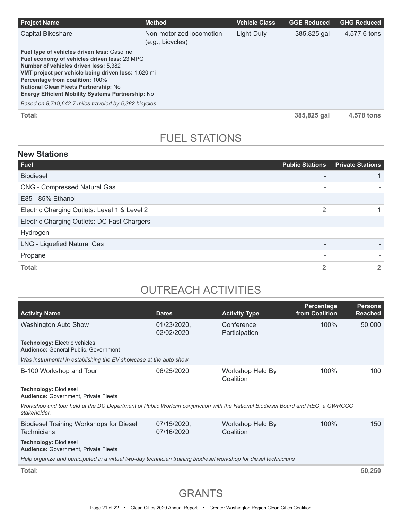| <b>Project Name</b>                                                                                                                                                                                                                                                                                                                                                                                 | <b>Method</b>                                | Vehicle Class | <b>GGE Reduced</b> | <b>GHG Reduced</b> |
|-----------------------------------------------------------------------------------------------------------------------------------------------------------------------------------------------------------------------------------------------------------------------------------------------------------------------------------------------------------------------------------------------------|----------------------------------------------|---------------|--------------------|--------------------|
| <b>Capital Bikeshare</b>                                                                                                                                                                                                                                                                                                                                                                            | Non-motorized locomotion<br>(e.g., bicycles) | Light-Duty    | 385,825 gal        | 4,577.6 tons       |
| Fuel type of vehicles driven less: Gasoline<br>Fuel economy of vehicles driven less: 23 MPG<br>Number of vehicles driven less: 5.382<br>VMT project per vehicle being driven less: 1,620 mi<br><b>Percentage from coalition: 100%</b><br>National Clean Fleets Partnership: No<br><b>Energy Efficient Mobility Systems Partnership: No</b><br>Based on 8,719,642.7 miles traveled by 5,382 bicycles |                                              |               |                    |                    |
| Total:                                                                                                                                                                                                                                                                                                                                                                                              |                                              |               | 385,825 gal        | 4.578 tons         |

# FUEL STATIONS

### **New Stations**

| Fuel                                         | <b>Public Stations</b>   | <b>Private Stations</b> |
|----------------------------------------------|--------------------------|-------------------------|
| <b>Biodiesel</b>                             |                          |                         |
| <b>CNG - Compressed Natural Gas</b>          |                          |                         |
| E85 - 85% Ethanol                            | $\overline{\phantom{a}}$ |                         |
| Electric Charging Outlets: Level 1 & Level 2 | $\overline{2}$           |                         |
| Electric Charging Outlets: DC Fast Chargers  |                          |                         |
| Hydrogen                                     |                          |                         |
| LNG - Liquefied Natural Gas                  | $\overline{\phantom{a}}$ |                         |
| Propane                                      | $\overline{\phantom{a}}$ |                         |
| Total:                                       | $\overline{2}$           |                         |

# OUTREACH ACTIVITIES

| <b>Activity Name</b>                                                                                                                          | <b>Dates</b>              | <b>Activity Type</b>          | Percentage<br>from Coalition | <b>Persons</b><br><b>Reached</b> |
|-----------------------------------------------------------------------------------------------------------------------------------------------|---------------------------|-------------------------------|------------------------------|----------------------------------|
| <b>Washington Auto Show</b>                                                                                                                   | 01/23/2020,<br>02/02/2020 | Conference<br>Participation   | $100\%$                      | 50,000                           |
| <b>Technology: Electric vehicles</b><br><b>Audience: General Public, Government</b>                                                           |                           |                               |                              |                                  |
| Was instrumental in establishing the EV showcase at the auto show                                                                             |                           |                               |                              |                                  |
| B-100 Workshop and Tour                                                                                                                       | 06/25/2020                | Workshop Held By<br>Coalition | 100%                         | 100                              |
| <b>Technology: Biodiesel</b><br><b>Audience: Government, Private Fleets</b>                                                                   |                           |                               |                              |                                  |
| Workshop and tour held at the DC Department of Public Worksin conjunction with the National Biodiesel Board and REG, a GWRCCC<br>stakeholder. |                           |                               |                              |                                  |
| <b>Biodiesel Training Workshops for Diesel</b><br><b>Technicians</b>                                                                          | 07/15/2020,<br>07/16/2020 | Workshop Held By<br>Coalition | 100%                         | 150                              |
| <b>Technology: Biodiesel</b><br><b>Audience: Government, Private Fleets</b>                                                                   |                           |                               |                              |                                  |
| Help organize and participated in a virtual two-day technician training biodiesel workshop for diesel technicians                             |                           |                               |                              |                                  |
| Total:                                                                                                                                        |                           |                               |                              | 50,250                           |